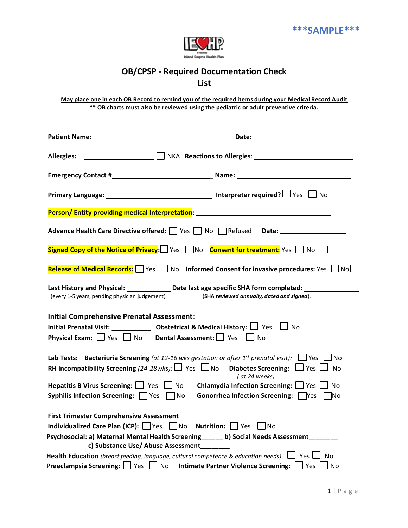

## **OB/CPSP - Required Documentation Check**

## **List**

May place one in each OB Record to remind you of the required items during your Medical Record Audit **\*\* OB charts must also be reviewed using the pediatric or adult preventive criteria.**

| <b>Allergies:</b>                                                                   | $\Box$ NKA Reactions to Allergies:                                                                                                                                                                                                                        |
|-------------------------------------------------------------------------------------|-----------------------------------------------------------------------------------------------------------------------------------------------------------------------------------------------------------------------------------------------------------|
|                                                                                     |                                                                                                                                                                                                                                                           |
|                                                                                     | <b>Primary Language:</b> Mo <b>Primary Language:</b> Mo                                                                                                                                                                                                   |
| Person/Entity providing medical Interpretation: ________________________________    |                                                                                                                                                                                                                                                           |
| Advance Health Care Directive offered: \[ \] Yes \[ \] No \[ \] Refused Date: \[ \] |                                                                                                                                                                                                                                                           |
|                                                                                     | Signed Copy of the Notice of Privacy: $\Box$ Yes $\Box$ No Consent for treatment: Yes $\Box$ No $\Box$                                                                                                                                                    |
|                                                                                     | Release of Medical Records: Ves Mo Informed Consent for invasive procedures: Yes NoL                                                                                                                                                                      |
| (every 1-5 years, pending physician judgement)                                      | Last History and Physical: _______________ Date last age specific SHA form completed: ____<br>(SHA reviewed annually, dated and signed).                                                                                                                  |
| <b>Initial Comprehensive Prenatal Assessment:</b>                                   |                                                                                                                                                                                                                                                           |
|                                                                                     | Initial Prenatal Visit: ______________ Obstetrical & Medical History: $\Box$ Yes $\Box$ No<br><b>Physical Exam:</b> $\Box$ Yes $\Box$ No Dental Assessment: $\Box$ Yes $\Box$ No                                                                          |
|                                                                                     | <b>Lab Tests:</b> Bacteriuria Screening (at 12-16 wks gestation or after 1 <sup>st</sup> prenatal visit): $\Box$ Yes $\Box$ No<br>RH Incompatibility Screening (24-28wks): $\Box$ Yes $\Box$ No Diabetes Screening: $\Box$ Yes $\Box$ No<br>(at 24 weeks) |
| Syphilis Infection Screening: TYes TNo                                              | Hepatitis B Virus Screening: $\Box$ Yes $\Box$ No Chlamydia Infection Screening: $\Box$ Yes $\Box$ No<br>Gonorrhea Infection Screening: Nes No                                                                                                            |
| <b>First Trimester Comprehensive Assessment</b>                                     | Individualized Care Plan (ICP): $\Box$ Yes $\Box$ No Nutrition: $\Box$ Yes $\Box$ No<br>Psychosocial: a) Maternal Mental Health Screening_____ b) Social Needs Assessment______<br>c) Substance Use/ Abuse Assessment_______                              |
|                                                                                     | <b>Health Education</b> (breast feeding, language, cultural competence & education needs) $\Box$ Yes $\Box$ No<br><b>Preeclampsia Screening:</b> $\Box$ Yes $\Box$ No Intimate Partner Violence Screening: $\Box$ Yes $\Box$ No                           |